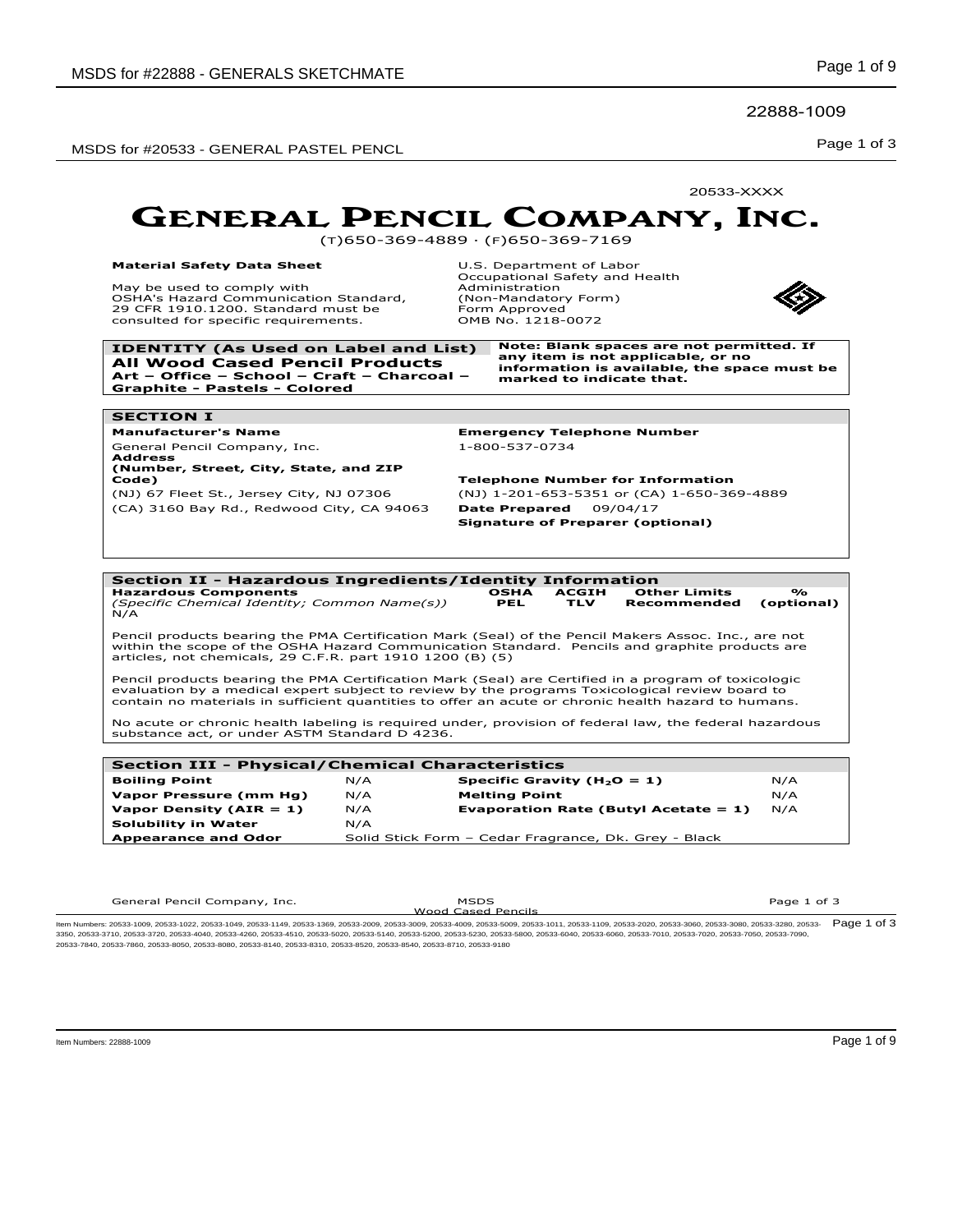22888-1009

Page 1 of 3 MSDS for #20533 - GENERAL PASTEL PENCL

20533-XXXX

### GENERAL PENCIL COMPANY, INC.

(T)650-369-4889 · (F)650-369-7169

#### **Material Safety Data Sheet** May be used to comply with

**SECTION I**

**Address**

OSHA's Hazard Communication Standard, 29 CFR 1910.1200. Standard must be consulted for specific requirements.

U.S. Department of Labor Occupational Safety and Health Administration (Non-Mandatory Form) Form Approved OMB No. 1218-0072



**IDENTITY (As Used on Label and List) Note: Blank spaces are not permitted. If All Wood Cased Pencil Products Art – Office – School – Craft – Charcoal – Graphite - Pastels - Colored**

**any item is not applicable, or no information is available, the space must be marked to indicate that.**

**Manufacturer's Name Emergency Telephone Number** General Pencil Company, Inc. 1-800-537-0734

**(Number, Street, City, State, and ZIP Code) Telephone Number for Information** (NJ) 67 Fleet St., Jersey City, NJ 07306 (NJ) 1-201-653-5351 or (CA) 1-650-369-4889 (CA) 3160 Bay Rd., Redwood City, CA 94063 **Date Prepared** 09/04/17 **Signature of Preparer (optional)** 



| Section III - Physical/Chemical Characteristics |     |                                                      |     |  |  |
|-------------------------------------------------|-----|------------------------------------------------------|-----|--|--|
| <b>Boiling Point</b>                            | N/A | Specific Gravity ( $H_2O = 1$ )                      | N/A |  |  |
| Vapor Pressure (mm Hg)                          | N/A | <b>Melting Point</b>                                 | N/A |  |  |
| Vapor Density ( $AIR = 1$ )                     | N/A | Evaporation Rate (Butyl Acetate $= 1$ )              | N/A |  |  |
| <b>Solubility in Water</b>                      | N/A |                                                      |     |  |  |
| <b>Appearance and Odor</b>                      |     | Solid Stick Form - Cedar Fragrance, Dk. Grey - Black |     |  |  |
|                                                 |     |                                                      |     |  |  |

General Pencil Company, Inc. MSDS

Wood Cased Pencils

Page 1 of 3

ltem Numbers: 20533-1009, 20533-1022, 20533-1049, 20533-1149, 20533-1369, 20533-2009, 20533-3009, 20533-3009, 20533-1109, 20533-109, 20533-2020, 20533-3080, 20533-3080, 20533-3080, 20533-380, 20533-380, 20533-3080, 20533-3 3350, 20533-3710, 20533-3720, 20533-4040, 20533-4260, 20533-4510, 20533-5020, 20533-5140, 20533-5200, 20533-5230, 20533-5800, 20533-6040, 20533-6060, 20533-7010, 20533-7020, 20533-7050, 20533-7090, 20533-7840, 20533-7860, 20533-8050, 20533-8080, 20533-8140, 20533-8310, 20533-8520, 20533-8540, 20533-8710, 20533-9180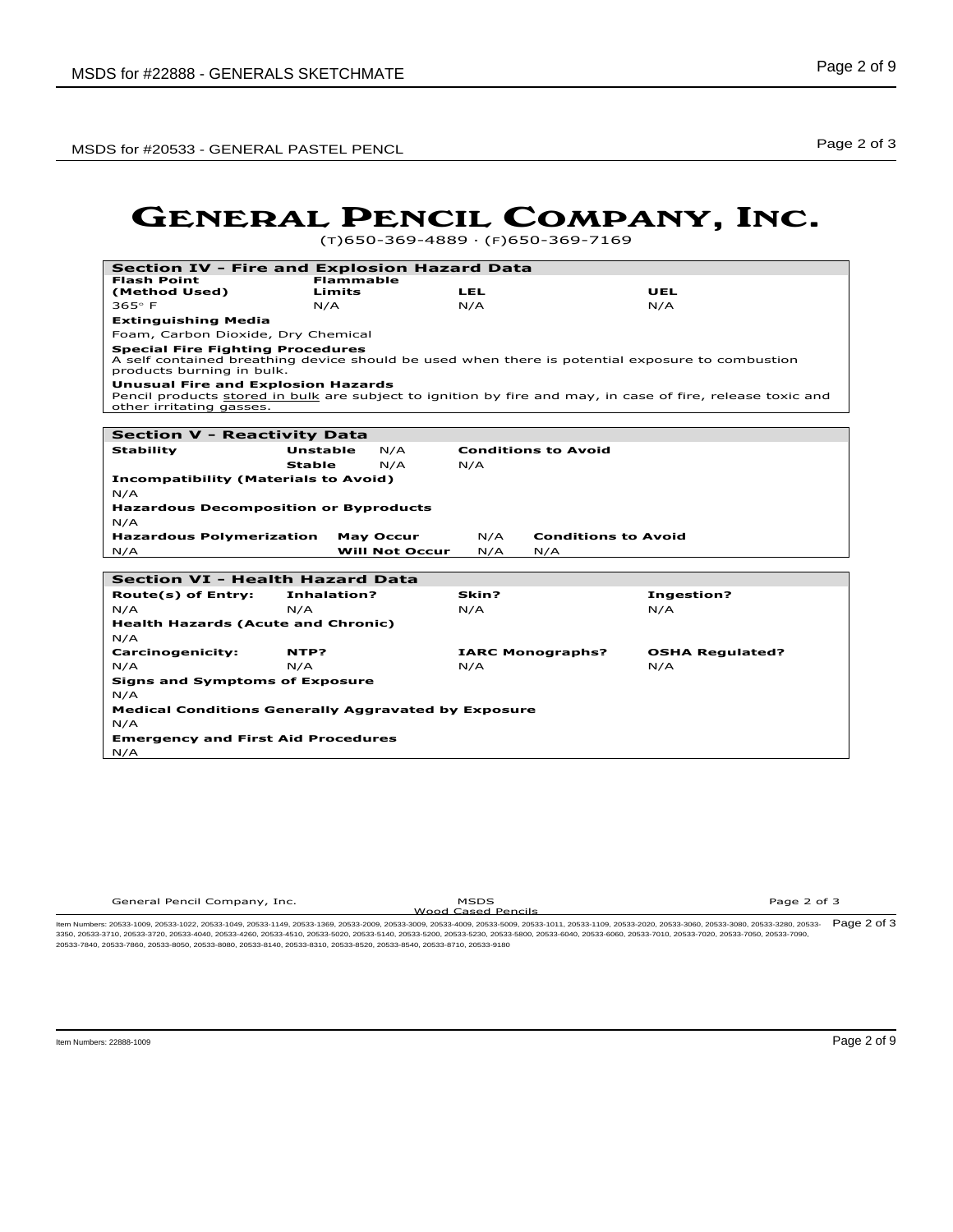MSDS for #20533 - GENERAL PASTEL PENCL Noticed that the state of the state of the Page 2 of 3

### GENERAL PENCIL COMPANY, INC.

(T)650-369-4889 · (F)650-369-7169

| <b>Section IV - Fire and Explosion Hazard Data</b>                    |                    |                       |       |                            |                                                                                                            |
|-----------------------------------------------------------------------|--------------------|-----------------------|-------|----------------------------|------------------------------------------------------------------------------------------------------------|
| <b>Flash Point</b>                                                    | <b>Flammable</b>   |                       |       |                            |                                                                                                            |
| (Method Used)                                                         | Limits             |                       | LEL   |                            | UEL                                                                                                        |
| $365^\circ$ F                                                         | N/A                |                       | N/A   |                            | N/A                                                                                                        |
| <b>Extinguishing Media</b>                                            |                    |                       |       |                            |                                                                                                            |
| Foam, Carbon Dioxide, Dry Chemical                                    |                    |                       |       |                            |                                                                                                            |
| <b>Special Fire Fighting Procedures</b><br>products burning in bulk.  |                    |                       |       |                            | A self contained breathing device should be used when there is potential exposure to combustion            |
| <b>Unusual Fire and Explosion Hazards</b><br>other irritating gasses. |                    |                       |       |                            | Pencil products stored in bulk are subject to ignition by fire and may, in case of fire, release toxic and |
| <b>Section V - Reactivity Data</b>                                    |                    |                       |       |                            |                                                                                                            |
|                                                                       |                    |                       |       | <b>Conditions to Avoid</b> |                                                                                                            |
| <b>Stability</b>                                                      | Unstable<br>Stable | N/A<br>N/A            | N/A   |                            |                                                                                                            |
|                                                                       |                    |                       |       |                            |                                                                                                            |
| <b>Incompatibility (Materials to Avoid)</b><br>N/A                    |                    |                       |       |                            |                                                                                                            |
|                                                                       |                    |                       |       |                            |                                                                                                            |
| <b>Hazardous Decomposition or Byproducts</b><br>N/A                   |                    |                       |       |                            |                                                                                                            |
| <b>Hazardous Polymerization</b>                                       |                    | <b>May Occur</b>      | N/A   | <b>Conditions to Avoid</b> |                                                                                                            |
| N/A                                                                   |                    | <b>Will Not Occur</b> | N/A   | N/A                        |                                                                                                            |
|                                                                       |                    |                       |       |                            |                                                                                                            |
| <b>Section VI - Health Hazard Data</b>                                |                    |                       |       |                            |                                                                                                            |
| Route(s) of Entry:                                                    | Inhalation?        |                       | Skin? |                            | <b>Ingestion?</b>                                                                                          |
| N/A                                                                   | N/A                |                       | N/A   |                            | N/A                                                                                                        |
| <b>Health Hazards (Acute and Chronic)</b>                             |                    |                       |       |                            |                                                                                                            |
| N/A                                                                   |                    |                       |       |                            |                                                                                                            |
| <b>Carcinogenicity:</b>                                               | NTP?               |                       |       | <b>IARC Monographs?</b>    | <b>OSHA Regulated?</b>                                                                                     |
| N/A                                                                   | N/A                |                       | N/A   |                            | N/A                                                                                                        |
| <b>Signs and Symptoms of Exposure</b>                                 |                    |                       |       |                            |                                                                                                            |
| N/A                                                                   |                    |                       |       |                            |                                                                                                            |
| <b>Medical Conditions Generally Aggravated by Exposure</b>            |                    |                       |       |                            |                                                                                                            |
| N/A                                                                   |                    |                       |       |                            |                                                                                                            |
| <b>Emergency and First Aid Procedures</b>                             |                    |                       |       |                            |                                                                                                            |
| N/A                                                                   |                    |                       |       |                            |                                                                                                            |

| General Pencil Company, Inc. | <b>MSDS</b>        | Page 2 of 3 |
|------------------------------|--------------------|-------------|
| .                            | ______             |             |
|                              | Wood Cased Pencils |             |
|                              |                    |             |

Wood Cased Pencils Item Numbers: 20533-1009, 20533-1022, 20533-1049, 20533-1149, 20533-1369, 20533-2009, 20533-3009, 20533-4009, 20533-5009, 20533-1011, 20533-1109, 20533-2020, 20533-3060, 20533-3080, 20533-3280, 20533- 3350, 20533-3710, 20533-3720, 20533-4040, 20533-4260, 20533-4510, 20533-5020, 20533-5140, 20533-5200, 20533-5230, 20533-5800, 20533-6040, 20533-6060, 20533-7010, 20533-7020, 20533-7050, 20533-7090, Page 2 of 3 20533-7840, 20533-7860, 20533-8050, 20533-8080, 20533-8140, 20533-8310, 20533-8520, 20533-8540, 20533-8710, 20533-9180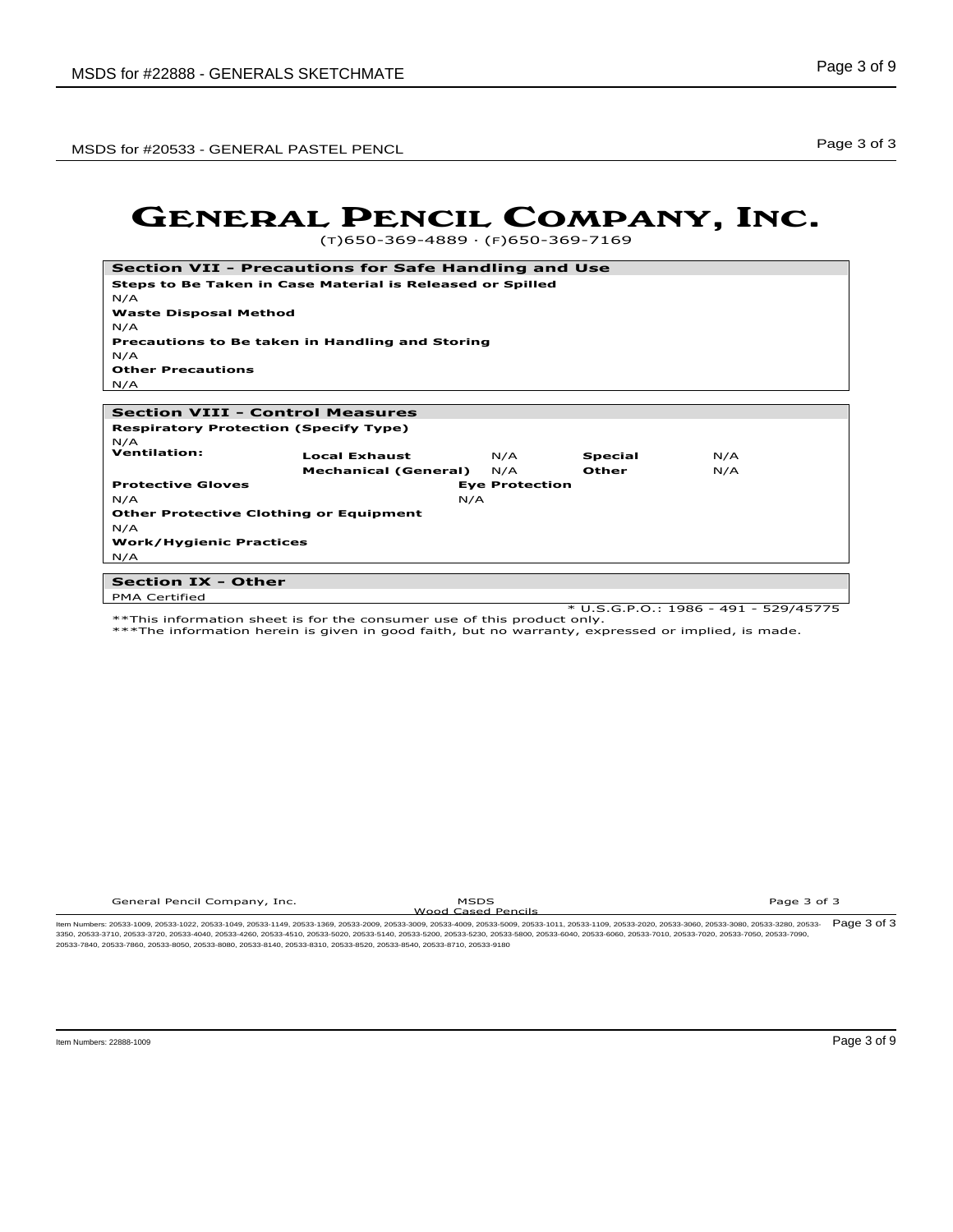Page 3 of 3 MSDS for #20533 - GENERAL PASTEL PENCL

### GENERAL PENCIL COMPANY, INC.

(T)650-369-4889 · (F)650-369-7169

| Section VII - Precautions for Safe Handling and Use       |                             |                       |                |     |
|-----------------------------------------------------------|-----------------------------|-----------------------|----------------|-----|
| Steps to Be Taken in Case Material is Released or Spilled |                             |                       |                |     |
| N/A                                                       |                             |                       |                |     |
| <b>Waste Disposal Method</b>                              |                             |                       |                |     |
| N/A                                                       |                             |                       |                |     |
| <b>Precautions to Be taken in Handling and Storing</b>    |                             |                       |                |     |
| N/A                                                       |                             |                       |                |     |
| <b>Other Precautions</b>                                  |                             |                       |                |     |
| N/A                                                       |                             |                       |                |     |
|                                                           |                             |                       |                |     |
| <b>Section VIII - Control Measures</b>                    |                             |                       |                |     |
| <b>Respiratory Protection (Specify Type)</b>              |                             |                       |                |     |
| N/A                                                       |                             |                       |                |     |
| <b>Ventilation:</b>                                       | <b>Local Exhaust</b>        | N/A                   | <b>Special</b> | N/A |
|                                                           | <b>Mechanical (General)</b> | N/A                   | Other          | N/A |
| <b>Protective Gloves</b>                                  |                             | <b>Eye Protection</b> |                |     |
| N/A                                                       | N/A                         |                       |                |     |
| <b>Other Protective Clothing or Equipment</b>             |                             |                       |                |     |
| N/A                                                       |                             |                       |                |     |
| <b>Work/Hygienic Practices</b>                            |                             |                       |                |     |
| N/A                                                       |                             |                       |                |     |
| <b>Section IX - Other</b>                                 |                             |                       |                |     |

PMA Certified

\* U.S.G.P.O.: 1986 - 491 - 529/45775

\*\*This information sheet is for the consumer use of this product only. \*\*\*The information herein is given in good faith, but no warranty, expressed or implied, is made.

General Pencil Company, Inc. **MSDS** Wood Cased Pencils Page 3 of 3

ltem Numbers: 20533-1009, 20533-1022, 20533-1049, 20533-1149, 20533-1369, 20533-2009, 20533-3009, 20533-3009, 20533-3011, 20533-1109, 20533-2020, 20533-3060, 20533-3080, 20533-3080, 20533-3280, 20533-3080, 20533-3080, 2053 3350, 20533-3710, 20533-3720, 20533-4040, 20533-4260, 20533-4510, 20533-5020, 20533-5140, 20533-5200, 20533-5230, 20533-5800, 20533-6040, 20533-6060, 20533-7010, 20533-7020, 20533-7050, 20533-7090, 20533-7840, 20533-7860, 20533-8050, 20533-8080, 20533-8140, 20533-8310, 20533-8520, 20533-8540, 20533-8710, 20533-9180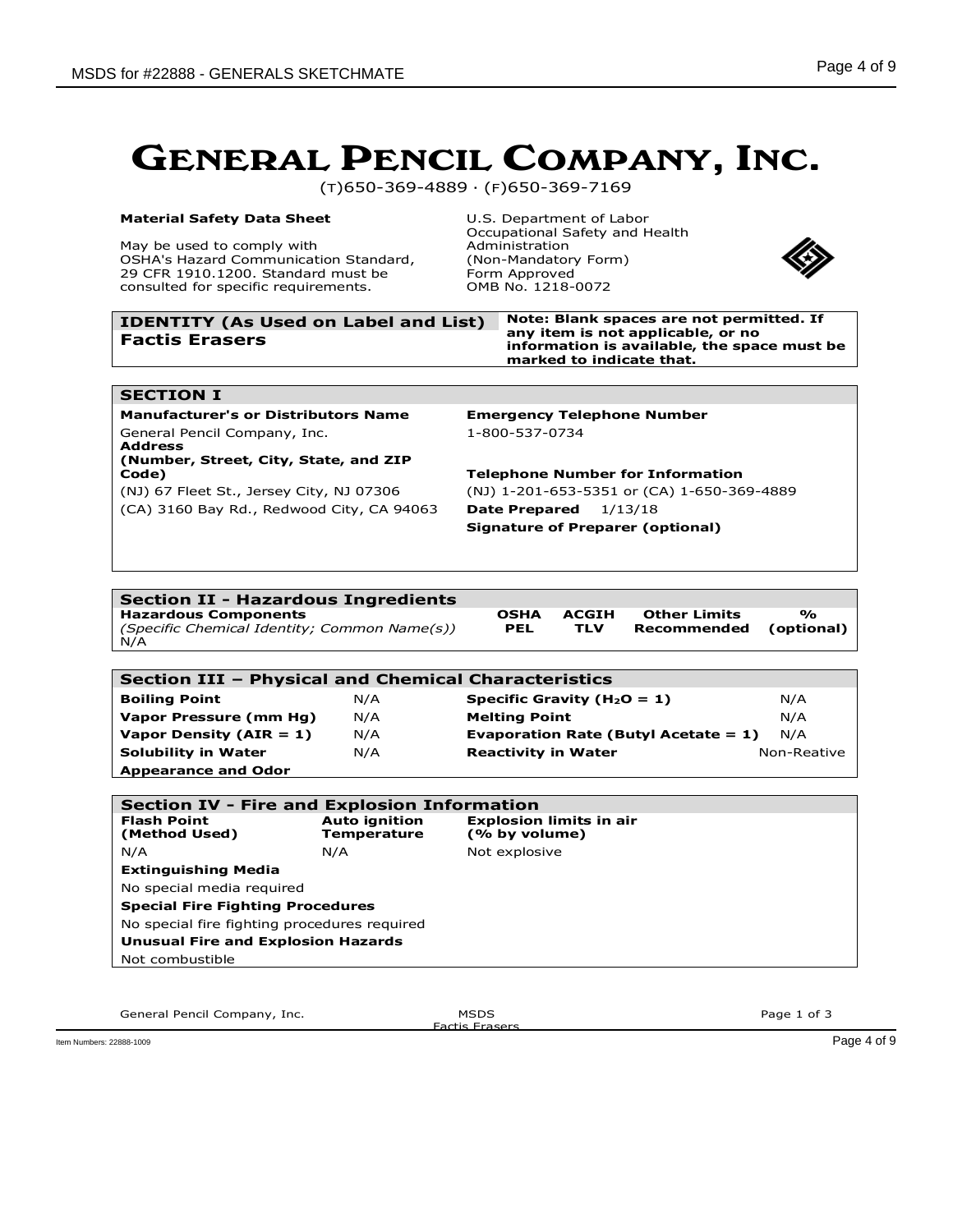(T)650-369-4889 · (F)650-369-7169

#### **Material Safety Data Sheet**

May be used to comply with OSHA's Hazard Communication Standard, 29 CFR 1910.1200. Standard must be consulted for specific requirements.

U.S. Department of Labor Occupational Safety and Health Administration (Non-Mandatory Form) Form Approved OMB No. 1218-0072



**% (optional)**

| <b>IDENTITY (As Used on Label and List)</b> | $\mathbf N$ |
|---------------------------------------------|-------------|
| <b>Factis Erasers</b>                       | aı<br>in    |

**ote: Blank spaces are not permitted. If any item is not applicable, or no information is available, the space must be marked to indicate that.**

#### **SECTION I**

**Manufacturer's or Distributors Name Emergency Telephone Number** General Pencil Company, Inc. 1-800-537-0734 **Address (Number, Street, City, State, and ZIP Code) Telephone Number for Information**

(NJ) 67 Fleet St., Jersey City, NJ 07306 (NJ) 1-201-653-5351 or (CA) 1-650-369-4889 (CA) 3160 Bay Rd., Redwood City, CA 94063 **Date Prepared** 1/13/18 **Signature of Preparer (optional)**

#### **Section II - Hazardous Ingredients**

**Hazardous Components** *(Specific Chemical Identity; Common Name(s))* N/A

**OSHA PEL ACGIH TLV**

**Other Limits Recommended**

**Section III – Physical and Chemical Characteristics Boiling Point N/A Specific Gravity (H<sub>2</sub>O = 1)** N/A **Vapor Pressure (mm Hg)** N/A **Melting Point** N/A **Vapor Density (AIR = 1)** N/A **Evaporation Rate (Butyl Acetate = 1)** N/A **Solubility in Water** N/A **Reactivity in Water** Non-Reative

**Appearance and Odor Section IV - Fire and Explosion Information Flash Point (Method Used) Auto ignition Temperature Explosion limits in air (% by volume)** N/A Not explosive **Extinguishing Media** No special media required **Special Fire Fighting Procedures** No special fire fighting procedures required **Unusual Fire and Explosion Hazards**

General Pencil Company, Inc. **MSDS** 

Not combustible

**Factis Eraser**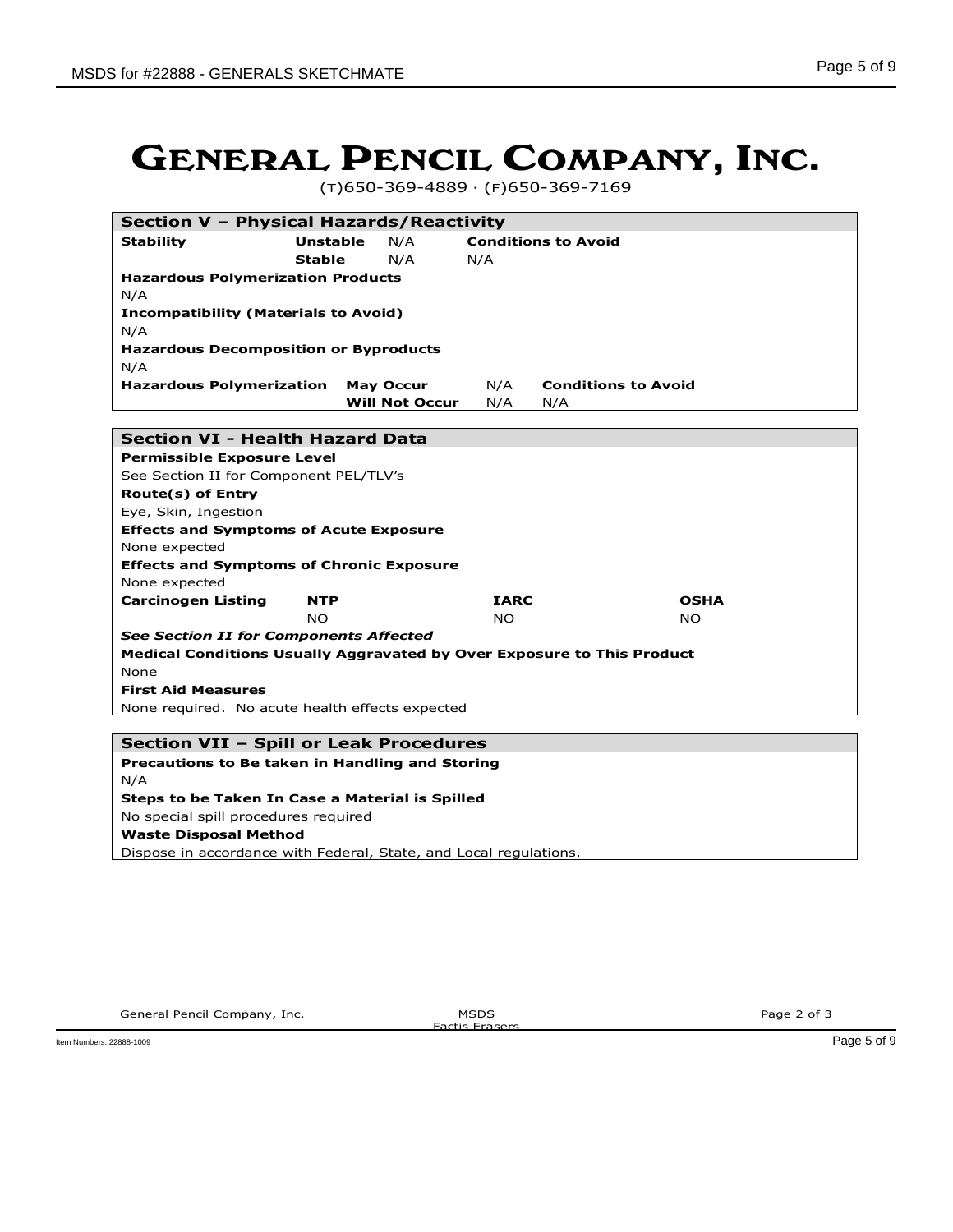(T)650-369-4889 · (F)650-369-7169

|                                                                        | Section V - Physical Hazards/Reactivity |                       |             |                            |  |  |
|------------------------------------------------------------------------|-----------------------------------------|-----------------------|-------------|----------------------------|--|--|
| <b>Stability</b>                                                       | <b>Unstable</b>                         | N/A                   |             | <b>Conditions to Avoid</b> |  |  |
|                                                                        | <b>Stable</b>                           | N/A                   | N/A         |                            |  |  |
| <b>Hazardous Polymerization Products</b>                               |                                         |                       |             |                            |  |  |
| N/A                                                                    |                                         |                       |             |                            |  |  |
| <b>Incompatibility (Materials to Avoid)</b>                            |                                         |                       |             |                            |  |  |
| N/A                                                                    |                                         |                       |             |                            |  |  |
| <b>Hazardous Decomposition or Byproducts</b>                           |                                         |                       |             |                            |  |  |
| N/A                                                                    |                                         |                       |             |                            |  |  |
| <b>Hazardous Polymerization</b>                                        |                                         | <b>May Occur</b>      | N/A         | <b>Conditions to Avoid</b> |  |  |
|                                                                        |                                         | <b>Will Not Occur</b> | N/A         | N/A                        |  |  |
|                                                                        |                                         |                       |             |                            |  |  |
| <b>Section VI - Health Hazard Data</b>                                 |                                         |                       |             |                            |  |  |
| <b>Permissible Exposure Level</b>                                      |                                         |                       |             |                            |  |  |
| See Section II for Component PEL/TLV's                                 |                                         |                       |             |                            |  |  |
| <b>Route(s) of Entry</b>                                               |                                         |                       |             |                            |  |  |
| Eye, Skin, Ingestion                                                   |                                         |                       |             |                            |  |  |
| <b>Effects and Symptoms of Acute Exposure</b>                          |                                         |                       |             |                            |  |  |
| None expected                                                          |                                         |                       |             |                            |  |  |
| <b>Effects and Symptoms of Chronic Exposure</b>                        |                                         |                       |             |                            |  |  |
| None expected                                                          |                                         |                       |             |                            |  |  |
| <b>Carcinogen Listing</b>                                              | <b>NTP</b>                              |                       | <b>IARC</b> | <b>OSHA</b>                |  |  |
|                                                                        | <b>NO</b>                               |                       | <b>NO</b>   | <b>NO</b>                  |  |  |
| <b>See Section II for Components Affected</b>                          |                                         |                       |             |                            |  |  |
| Medical Conditions Usually Aggravated by Over Exposure to This Product |                                         |                       |             |                            |  |  |
| None                                                                   |                                         |                       |             |                            |  |  |
| <b>First Aid Measures</b>                                              |                                         |                       |             |                            |  |  |
| None required. No acute health effects expected                        |                                         |                       |             |                            |  |  |
|                                                                        |                                         |                       |             |                            |  |  |
| Section VII - Spill or Leak Procedures                                 |                                         |                       |             |                            |  |  |

### **Precautions to Be taken in Handling and Storing**

N/A **Steps to be Taken In Case a Material is Spilled** No special spill procedures required **Waste Disposal Method**

Dispose in accordance with Federal, State, and Local regulations.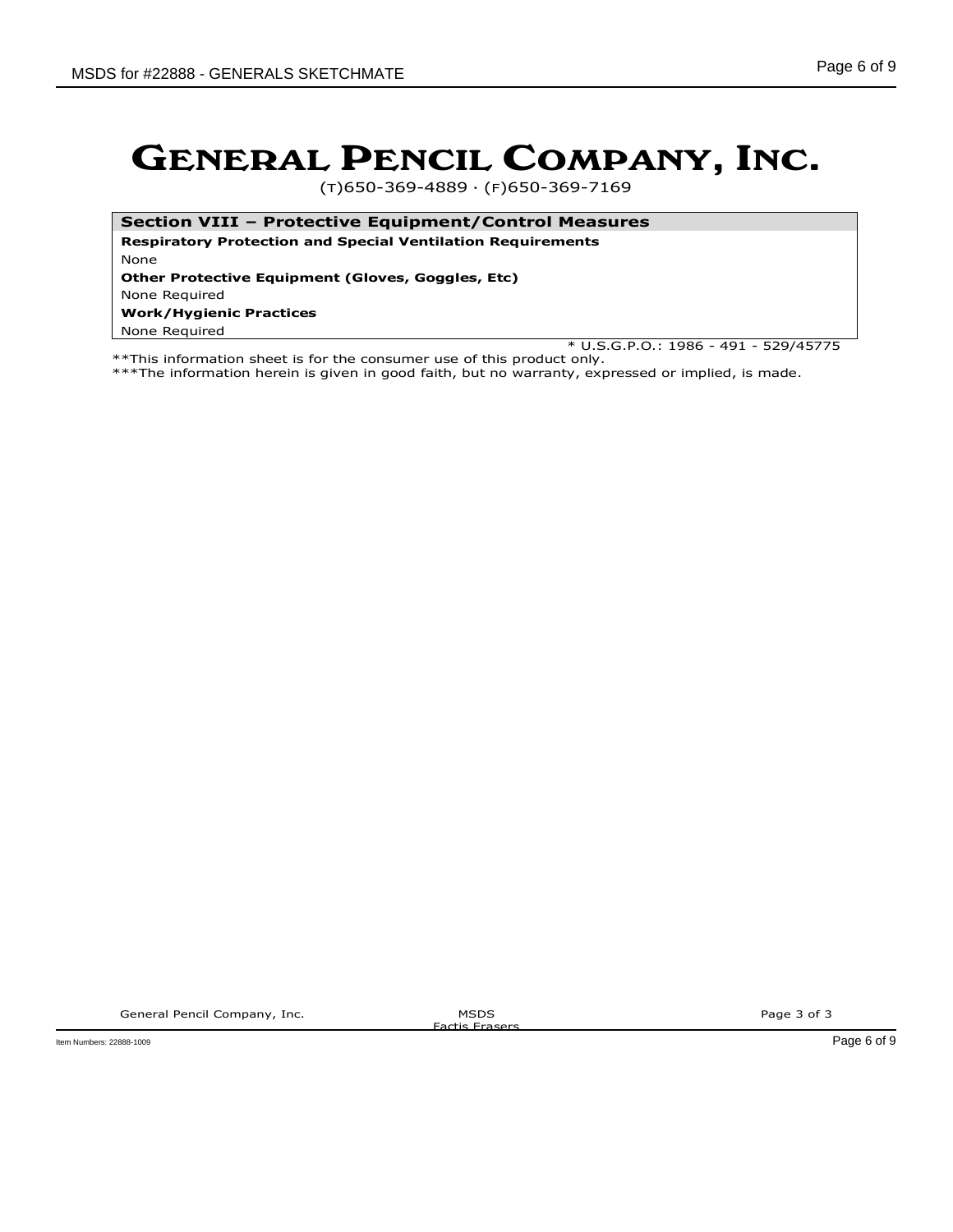(T)650-369-4889 · (F)650-369-7169

**Section VIII – Protective Equipment/Control Measures**

**Respiratory Protection and Special Ventilation Requirements** None

**Other Protective Equipment (Gloves, Goggles, Etc)**

None Required

#### **Work/Hygienic Practices**

None Required

\* U.S.G.P.O.: 1986 - 491 - 529/45775

\*\*This information sheet is for the consumer use of this product only. \*\*\*The information herein is given in good faith, but no warranty, expressed or implied, is made.

General Pencil Company, Inc. **MSDS** 

Factis Erasers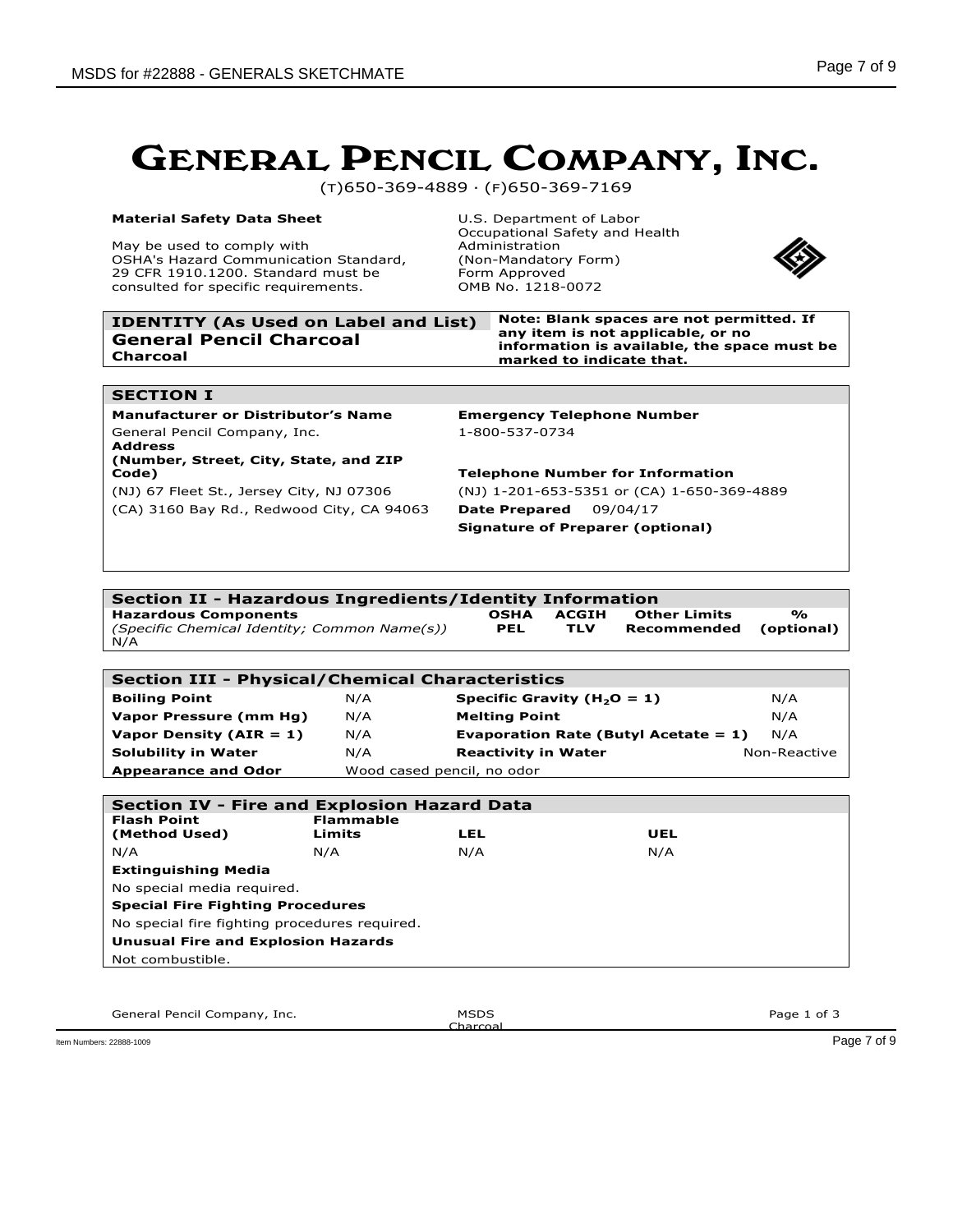(T)650-369-4889 · (F)650-369-7169

#### **Material Safety Data Sheet**

May be used to comply with OSHA's Hazard Communication Standard, 29 CFR 1910.1200. Standard must be consulted for specific requirements.

U.S. Department of Labor Occupational Safety and Health Administration (Non-Mandatory Form) Form Approved OMB No. 1218-0072



| Note: Blank spaces are not permitted. If<br>any item is not applicable, or no<br>information is available, the space must be<br>marked to indicate that. |
|----------------------------------------------------------------------------------------------------------------------------------------------------------|
|                                                                                                                                                          |
|                                                                                                                                                          |

#### **SECTION I**

**Manufacturer or Distributor's Name Emergency Telephone Number** General Pencil Company, Inc. 1-800-537-0734 **Address (Number, Street, City, State, and ZIP Code) Telephone Number for Information**

(NJ) 67 Fleet St., Jersey City, NJ 07306 (NJ) 1-201-653-5351 or (CA) 1-650-369-4889 (CA) 3160 Bay Rd., Redwood City, CA 94063 **Date Prepared** 09/04/17 **Signature of Preparer (optional)**

#### **Section II - Hazardous Ingredients/Identity Information Hazardous Components** *(Specific Chemical Identity; Common Name(s))* **OSHA PEL ACGIH TLV Other Limits Recommended % (optional)** N/A

| <b>Section III - Physical/Chemical Characteristics</b> |                            |                                         |              |  |  |
|--------------------------------------------------------|----------------------------|-----------------------------------------|--------------|--|--|
| <b>Boiling Point</b>                                   | N/A                        | Specific Gravity ( $H_2O = 1$ )         | N/A          |  |  |
| Vapor Pressure (mm Hg)                                 | N/A                        | <b>Melting Point</b>                    | N/A          |  |  |
| Vapor Density ( $AIR = 1$ )                            | N/A                        | Evaporation Rate (Butyl Acetate = $1$ ) | N/A          |  |  |
| <b>Solubility in Water</b>                             | N/A                        | <b>Reactivity in Water</b>              | Non-Reactive |  |  |
| <b>Appearance and Odor</b>                             | Wood cased pencil, no odor |                                         |              |  |  |

| <b>Section IV - Fire and Explosion Hazard Data</b> |                  |     |     |  |  |  |
|----------------------------------------------------|------------------|-----|-----|--|--|--|
| <b>Flash Point</b>                                 | <b>Flammable</b> |     |     |  |  |  |
| (Method Used)                                      | Limits           | LEL | UEL |  |  |  |
| N/A                                                | N/A              | N/A | N/A |  |  |  |
| <b>Extinguishing Media</b>                         |                  |     |     |  |  |  |
| No special media required.                         |                  |     |     |  |  |  |
| <b>Special Fire Fighting Procedures</b>            |                  |     |     |  |  |  |
| No special fire fighting procedures required.      |                  |     |     |  |  |  |
| <b>Unusual Fire and Explosion Hazards</b>          |                  |     |     |  |  |  |
| Not combustible.                                   |                  |     |     |  |  |  |
|                                                    |                  |     |     |  |  |  |

General Pencil Company, Inc. **MSDS** 

Charcoal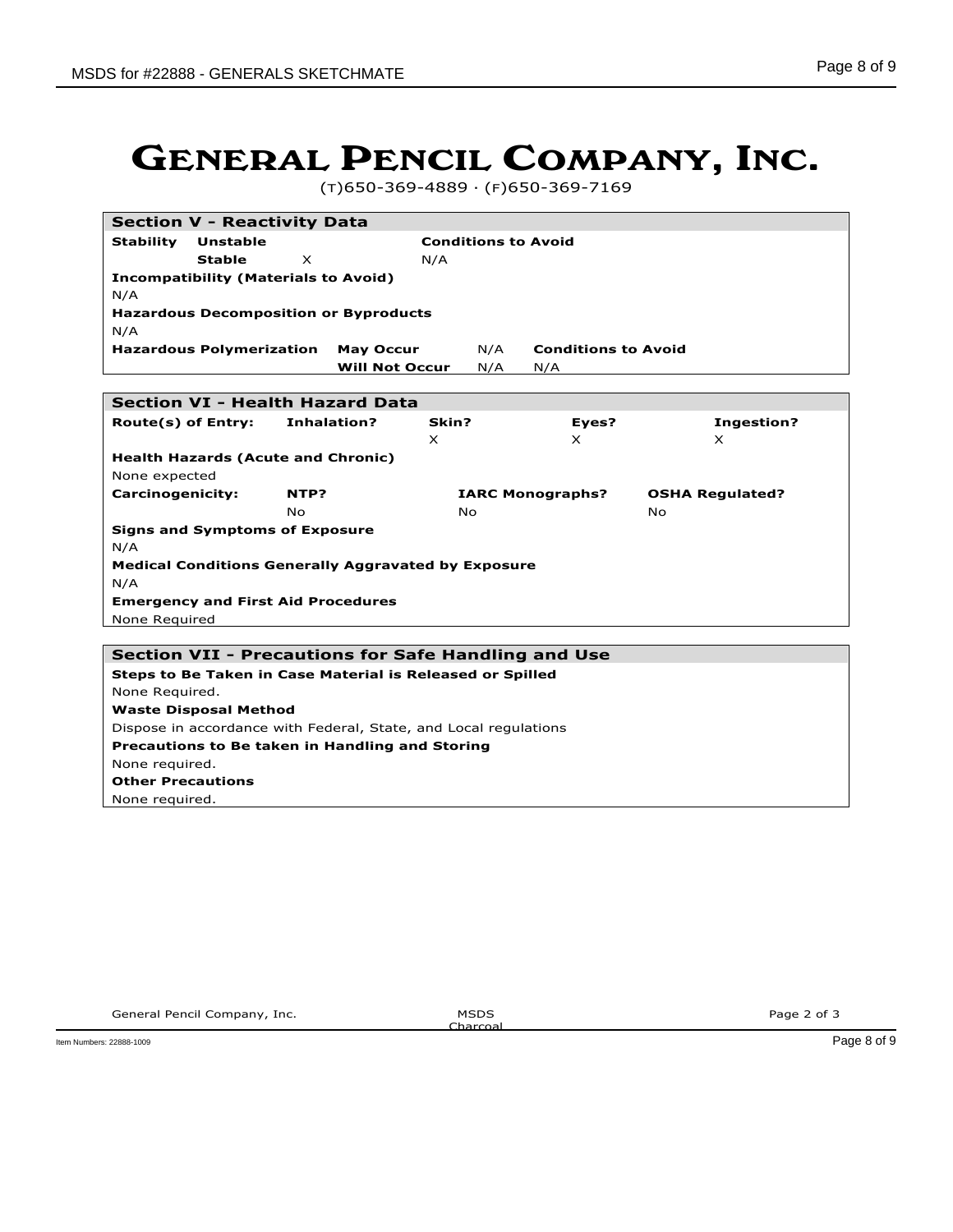(T)650-369-4889 · (F)650-369-7169

| <b>Section V - Reactivity Data</b>                                |                       |           |                            |                        |
|-------------------------------------------------------------------|-----------------------|-----------|----------------------------|------------------------|
| <b>Stability</b><br><b>Unstable</b><br><b>Conditions to Avoid</b> |                       |           |                            |                        |
| <b>Stable</b><br>X<br>N/A                                         |                       |           |                            |                        |
| <b>Incompatibility (Materials to Avoid)</b>                       |                       |           |                            |                        |
| N/A                                                               |                       |           |                            |                        |
| <b>Hazardous Decomposition or Byproducts</b>                      |                       |           |                            |                        |
| N/A                                                               |                       |           |                            |                        |
| <b>Hazardous Polymerization</b>                                   | <b>May Occur</b>      | N/A       | <b>Conditions to Avoid</b> |                        |
|                                                                   | <b>Will Not Occur</b> | N/A       | N/A                        |                        |
|                                                                   |                       |           |                            |                        |
| <b>Section VI - Health Hazard Data</b>                            |                       |           |                            |                        |
| Route(s) of Entry:                                                | Inhalation?           | Skin?     | Eyes?                      | Ingestion?             |
| <b>Health Hazards (Acute and Chronic)</b>                         |                       | X.        | X.                         | X.                     |
| None expected                                                     |                       |           |                            |                        |
| Carcinogenicity:                                                  | NTP?                  |           | <b>IARC Monographs?</b>    | <b>OSHA Regulated?</b> |
|                                                                   | <b>No</b>             | <b>No</b> |                            | No.                    |
| <b>Signs and Symptoms of Exposure</b>                             |                       |           |                            |                        |
| N/A                                                               |                       |           |                            |                        |
| <b>Medical Conditions Generally Aggravated by Exposure</b>        |                       |           |                            |                        |
| N/A                                                               |                       |           |                            |                        |
| <b>Emergency and First Aid Procedures</b>                         |                       |           |                            |                        |
| None Required                                                     |                       |           |                            |                        |
|                                                                   |                       |           |                            |                        |
| <b>Section VII - Precautions for Safe Handling and Use</b>        |                       |           |                            |                        |
| Steps to Be Taken in Case Material is Released or Spilled         |                       |           |                            |                        |
| None Required.                                                    |                       |           |                            |                        |
| <b>Waste Disposal Method</b>                                      |                       |           |                            |                        |
| Dispose in accordance with Federal, State, and Local regulations  |                       |           |                            |                        |
| Precautions to Be taken in Handling and Storing                   |                       |           |                            |                        |
| None required.                                                    |                       |           |                            |                        |
| <b>Other Precautions</b>                                          |                       |           |                            |                        |

None required.

Charcoal